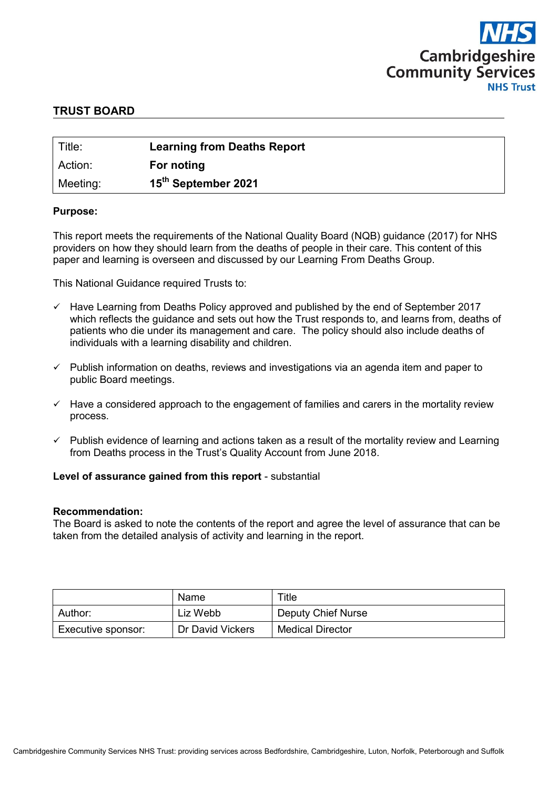

# **TRUST BOARD**

| Title:   | <b>Learning from Deaths Report</b> |
|----------|------------------------------------|
| Action:  | For noting                         |
| Meeting: | 15 <sup>th</sup> September 2021    |

#### **Purpose:**

This report meets the requirements of the National Quality Board (NQB) guidance (2017) for NHS providers on how they should learn from the deaths of people in their care. This content of this paper and learning is overseen and discussed by our Learning From Deaths Group.

This National Guidance required Trusts to:

- $\checkmark$  Have Learning from Deaths Policy approved and published by the end of September 2017 which reflects the guidance and sets out how the Trust responds to, and learns from, deaths of patients who die under its management and care. The policy should also include deaths of individuals with a learning disability and children.
- $\checkmark$  Publish information on deaths, reviews and investigations via an agenda item and paper to public Board meetings.
- $\checkmark$  Have a considered approach to the engagement of families and carers in the mortality review process.
- $\checkmark$  Publish evidence of learning and actions taken as a result of the mortality review and Learning from Deaths process in the Trust's Quality Account from June 2018.

#### **Level of assurance gained from this report** - substantial

#### **Recommendation:**

The Board is asked to note the contents of the report and agree the level of assurance that can be taken from the detailed analysis of activity and learning in the report.

| Name               |                  | $T$ itle                |  |  |
|--------------------|------------------|-------------------------|--|--|
| Author:            | Liz Webb         | Deputy Chief Nurse      |  |  |
| Executive sponsor: | Dr David Vickers | <b>Medical Director</b> |  |  |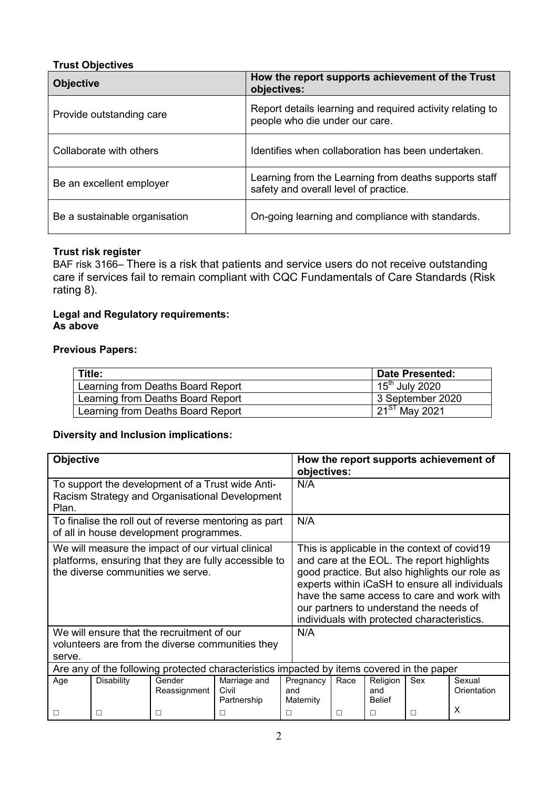# **Trust Objectives**

| <b>Objective</b>              | How the report supports achievement of the Trust<br>objectives:                                |  |  |  |  |
|-------------------------------|------------------------------------------------------------------------------------------------|--|--|--|--|
| Provide outstanding care      | Report details learning and required activity relating to<br>people who die under our care.    |  |  |  |  |
| Collaborate with others       | Identifies when collaboration has been undertaken.                                             |  |  |  |  |
| Be an excellent employer      | Learning from the Learning from deaths supports staff<br>safety and overall level of practice. |  |  |  |  |
| Be a sustainable organisation | On-going learning and compliance with standards.                                               |  |  |  |  |

# **Trust risk register**

BAF risk 3166– There is a risk that patients and service users do not receive outstanding care if services fail to remain compliant with CQC Fundamentals of Care Standards (Risk rating 8).

# **Legal and Regulatory requirements: As above**

# **Previous Papers:**

| Title:                            | ∣ Date Presented:         |
|-----------------------------------|---------------------------|
| Learning from Deaths Board Report | $15th$ July 2020          |
| Learning from Deaths Board Report | 3 September 2020          |
| Learning from Deaths Board Report | $\sqrt{21^{ST}}$ May 2021 |

## **Diversity and Inclusion implications:**

| <b>Objective</b>                                                                                                                                 |                   |                        |                                      |                                                                                                                                                                                                                                                                                                                                        | How the report supports achievement of<br>objectives: |                                  |     |                            |  |
|--------------------------------------------------------------------------------------------------------------------------------------------------|-------------------|------------------------|--------------------------------------|----------------------------------------------------------------------------------------------------------------------------------------------------------------------------------------------------------------------------------------------------------------------------------------------------------------------------------------|-------------------------------------------------------|----------------------------------|-----|----------------------------|--|
| To support the development of a Trust wide Anti-<br>Racism Strategy and Organisational Development<br>Plan.                                      |                   |                        |                                      | N/A                                                                                                                                                                                                                                                                                                                                    |                                                       |                                  |     |                            |  |
| To finalise the roll out of reverse mentoring as part<br>of all in house development programmes.                                                 |                   |                        |                                      | N/A                                                                                                                                                                                                                                                                                                                                    |                                                       |                                  |     |                            |  |
| We will measure the impact of our virtual clinical<br>platforms, ensuring that they are fully accessible to<br>the diverse communities we serve. |                   |                        |                                      | This is applicable in the context of covid19<br>and care at the EOL. The report highlights<br>good practice. But also highlights our role as<br>experts within iCaSH to ensure all individuals<br>have the same access to care and work with<br>our partners to understand the needs of<br>individuals with protected characteristics. |                                                       |                                  |     |                            |  |
| We will ensure that the recruitment of our<br>volunteers are from the diverse communities they<br>serve.                                         |                   |                        |                                      | N/A                                                                                                                                                                                                                                                                                                                                    |                                                       |                                  |     |                            |  |
| Are any of the following protected characteristics impacted by items covered in the paper                                                        |                   |                        |                                      |                                                                                                                                                                                                                                                                                                                                        |                                                       |                                  |     |                            |  |
| Age                                                                                                                                              | <b>Disability</b> | Gender<br>Reassignment | Marriage and<br>Civil<br>Partnership | Pregnancy<br>and<br>Maternity                                                                                                                                                                                                                                                                                                          | Race                                                  | Religion<br>and<br><b>Belief</b> | Sex | Sexual<br>Orientation<br>X |  |
|                                                                                                                                                  | □                 |                        |                                      |                                                                                                                                                                                                                                                                                                                                        | П                                                     | □                                |     |                            |  |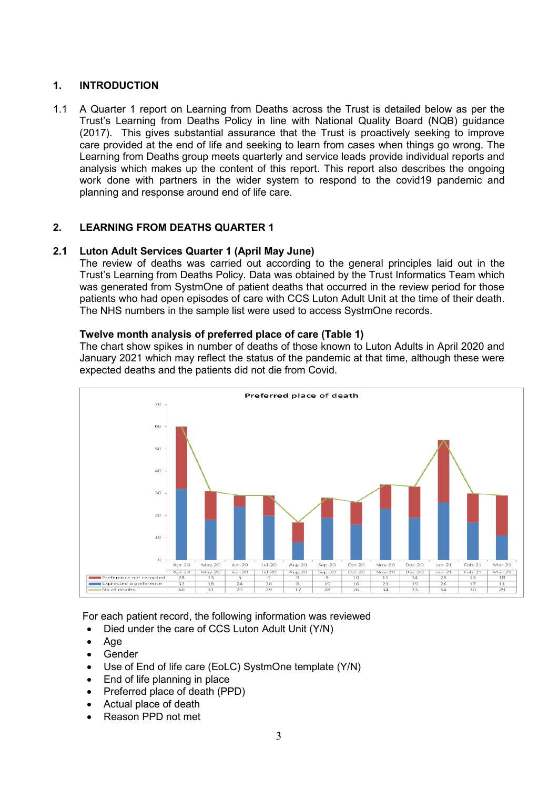# **1. INTRODUCTION**

1.1 A Quarter 1 report on Learning from Deaths across the Trust is detailed below as per the Trust's Learning from Deaths Policy in line with National Quality Board (NQB) guidance (2017). This gives substantial assurance that the Trust is proactively seeking to improve care provided at the end of life and seeking to learn from cases when things go wrong. The Learning from Deaths group meets quarterly and service leads provide individual reports and analysis which makes up the content of this report. This report also describes the ongoing work done with partners in the wider system to respond to the covid19 pandemic and planning and response around end of life care.

# **2. LEARNING FROM DEATHS QUARTER 1**

## **2.1 Luton Adult Services Quarter 1 (April May June)**

The review of deaths was carried out according to the general principles laid out in the Trust's Learning from Deaths Policy. Data was obtained by the Trust Informatics Team which was generated from SystmOne of patient deaths that occurred in the review period for those patients who had open episodes of care with CCS Luton Adult Unit at the time of their death. The NHS numbers in the sample list were used to access SystmOne records.

#### **Twelve month analysis of preferred place of care (Table 1)**

The chart show spikes in number of deaths of those known to Luton Adults in April 2020 and January 2021 which may reflect the status of the pandemic at that time, although these were expected deaths and the patients did not die from Covid.



For each patient record, the following information was reviewed

- Died under the care of CCS Luton Adult Unit (Y/N)
- Age
- Gender
- Use of End of life care (EoLC) SystmOne template (Y/N)
- End of life planning in place
- Preferred place of death (PPD)
- Actual place of death
- Reason PPD not met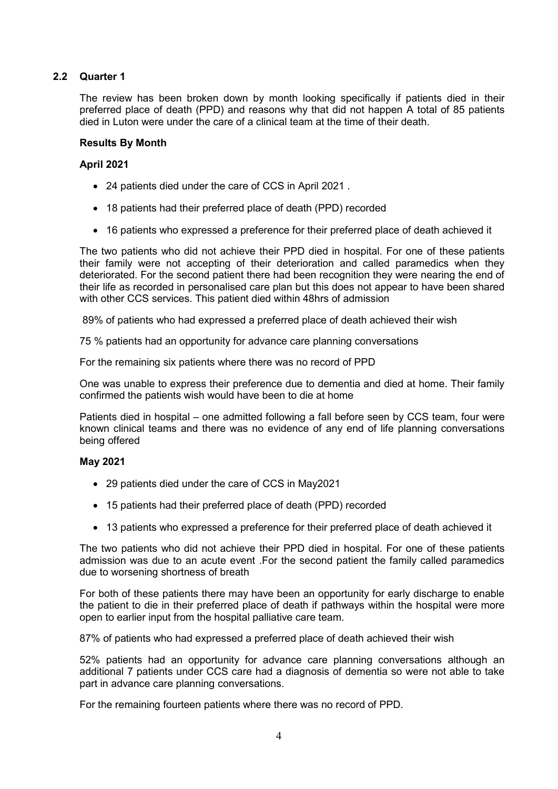# **2.2 Quarter 1**

The review has been broken down by month looking specifically if patients died in their preferred place of death (PPD) and reasons why that did not happen A total of 85 patients died in Luton were under the care of a clinical team at the time of their death.

## **Results By Month**

## **April 2021**

- 24 patients died under the care of CCS in April 2021 .
- 18 patients had their preferred place of death (PPD) recorded
- 16 patients who expressed a preference for their preferred place of death achieved it

The two patients who did not achieve their PPD died in hospital. For one of these patients their family were not accepting of their deterioration and called paramedics when they deteriorated. For the second patient there had been recognition they were nearing the end of their life as recorded in personalised care plan but this does not appear to have been shared with other CCS services. This patient died within 48hrs of admission

89% of patients who had expressed a preferred place of death achieved their wish

75 % patients had an opportunity for advance care planning conversations

For the remaining six patients where there was no record of PPD

One was unable to express their preference due to dementia and died at home. Their family confirmed the patients wish would have been to die at home

Patients died in hospital – one admitted following a fall before seen by CCS team, four were known clinical teams and there was no evidence of any end of life planning conversations being offered

#### **May 2021**

- 29 patients died under the care of CCS in May2021
- 15 patients had their preferred place of death (PPD) recorded
- 13 patients who expressed a preference for their preferred place of death achieved it

The two patients who did not achieve their PPD died in hospital. For one of these patients admission was due to an acute event .For the second patient the family called paramedics due to worsening shortness of breath

For both of these patients there may have been an opportunity for early discharge to enable the patient to die in their preferred place of death if pathways within the hospital were more open to earlier input from the hospital palliative care team.

87% of patients who had expressed a preferred place of death achieved their wish

52% patients had an opportunity for advance care planning conversations although an additional 7 patients under CCS care had a diagnosis of dementia so were not able to take part in advance care planning conversations.

For the remaining fourteen patients where there was no record of PPD.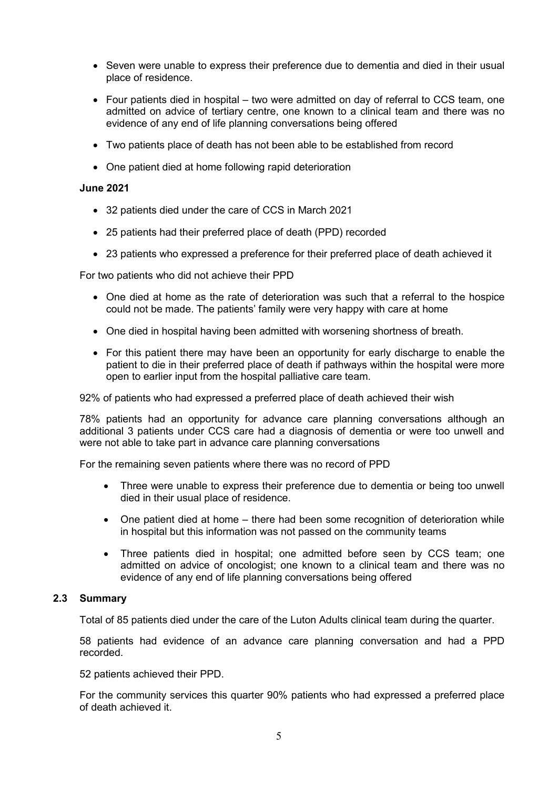- Seven were unable to express their preference due to dementia and died in their usual place of residence.
- $\bullet$  Four patients died in hospital two were admitted on day of referral to CCS team, one admitted on advice of tertiary centre, one known to a clinical team and there was no evidence of any end of life planning conversations being offered
- Two patients place of death has not been able to be established from record
- One patient died at home following rapid deterioration

#### **June 2021**

- 32 patients died under the care of CCS in March 2021
- 25 patients had their preferred place of death (PPD) recorded
- 23 patients who expressed a preference for their preferred place of death achieved it

For two patients who did not achieve their PPD

- One died at home as the rate of deterioration was such that a referral to the hospice could not be made. The patients' family were very happy with care at home
- One died in hospital having been admitted with worsening shortness of breath.
- For this patient there may have been an opportunity for early discharge to enable the patient to die in their preferred place of death if pathways within the hospital were more open to earlier input from the hospital palliative care team.

92% of patients who had expressed a preferred place of death achieved their wish

78% patients had an opportunity for advance care planning conversations although an additional 3 patients under CCS care had a diagnosis of dementia or were too unwell and were not able to take part in advance care planning conversations

For the remaining seven patients where there was no record of PPD

- Three were unable to express their preference due to dementia or being too unwell died in their usual place of residence.
- One patient died at home there had been some recognition of deterioration while in hospital but this information was not passed on the community teams
- Three patients died in hospital; one admitted before seen by CCS team; one admitted on advice of oncologist; one known to a clinical team and there was no evidence of any end of life planning conversations being offered

## **2.3 Summary**

Total of 85 patients died under the care of the Luton Adults clinical team during the quarter.

58 patients had evidence of an advance care planning conversation and had a PPD recorded.

52 patients achieved their PPD.

For the community services this quarter 90% patients who had expressed a preferred place of death achieved it.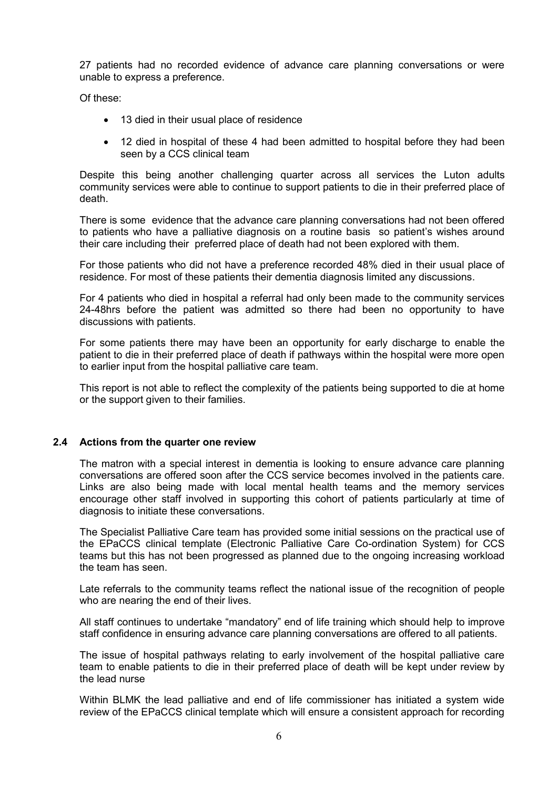27 patients had no recorded evidence of advance care planning conversations or were unable to express a preference.

Of these:

- 13 died in their usual place of residence
- 12 died in hospital of these 4 had been admitted to hospital before they had been seen by a CCS clinical team

Despite this being another challenging quarter across all services the Luton adults community services were able to continue to support patients to die in their preferred place of death.

There is some evidence that the advance care planning conversations had not been offered to patients who have a palliative diagnosis on a routine basis so patient's wishes around their care including their preferred place of death had not been explored with them.

For those patients who did not have a preference recorded 48% died in their usual place of residence. For most of these patients their dementia diagnosis limited any discussions.

For 4 patients who died in hospital a referral had only been made to the community services 24-48hrs before the patient was admitted so there had been no opportunity to have discussions with patients.

For some patients there may have been an opportunity for early discharge to enable the patient to die in their preferred place of death if pathways within the hospital were more open to earlier input from the hospital palliative care team.

This report is not able to reflect the complexity of the patients being supported to die at home or the support given to their families.

## **2.4 Actions from the quarter one review**

The matron with a special interest in dementia is looking to ensure advance care planning conversations are offered soon after the CCS service becomes involved in the patients care. Links are also being made with local mental health teams and the memory services encourage other staff involved in supporting this cohort of patients particularly at time of diagnosis to initiate these conversations.

The Specialist Palliative Care team has provided some initial sessions on the practical use of the EPaCCS clinical template (Electronic Palliative Care Co-ordination System) for CCS teams but this has not been progressed as planned due to the ongoing increasing workload the team has seen.

Late referrals to the community teams reflect the national issue of the recognition of people who are nearing the end of their lives.

All staff continues to undertake "mandatory" end of life training which should help to improve staff confidence in ensuring advance care planning conversations are offered to all patients.

The issue of hospital pathways relating to early involvement of the hospital palliative care team to enable patients to die in their preferred place of death will be kept under review by the lead nurse

Within BLMK the lead palliative and end of life commissioner has initiated a system wide review of the EPaCCS clinical template which will ensure a consistent approach for recording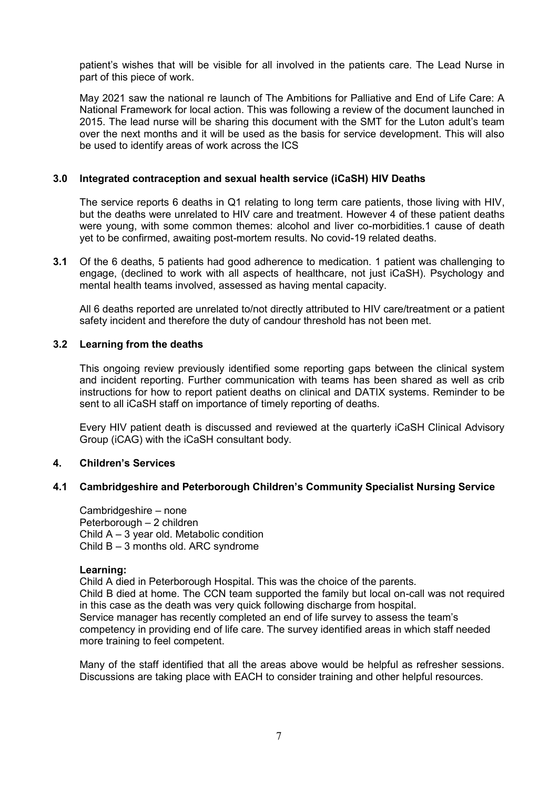patient's wishes that will be visible for all involved in the patients care. The Lead Nurse in part of this piece of work.

May 2021 saw the national re launch of The Ambitions for Palliative and End of Life Care: A National Framework for local action. This was following a review of the document launched in 2015. The lead nurse will be sharing this document with the SMT for the Luton adult's team over the next months and it will be used as the basis for service development. This will also be used to identify areas of work across the ICS

## **3.0 Integrated contraception and sexual health service (iCaSH) HIV Deaths**

The service reports 6 deaths in Q1 relating to long term care patients, those living with HIV, but the deaths were unrelated to HIV care and treatment. However 4 of these patient deaths were young, with some common themes: alcohol and liver co-morbidities.1 cause of death yet to be confirmed, awaiting post-mortem results. No covid-19 related deaths.

**3.1** Of the 6 deaths, 5 patients had good adherence to medication. 1 patient was challenging to engage, (declined to work with all aspects of healthcare, not just iCaSH). Psychology and mental health teams involved, assessed as having mental capacity.

All 6 deaths reported are unrelated to/not directly attributed to HIV care/treatment or a patient safety incident and therefore the duty of candour threshold has not been met.

#### **3.2 Learning from the deaths**

This ongoing review previously identified some reporting gaps between the clinical system and incident reporting. Further communication with teams has been shared as well as crib instructions for how to report patient deaths on clinical and DATIX systems. Reminder to be sent to all iCaSH staff on importance of timely reporting of deaths.

Every HIV patient death is discussed and reviewed at the quarterly iCaSH Clinical Advisory Group (iCAG) with the iCaSH consultant body.

#### **4. Children's Services**

## **4.1 Cambridgeshire and Peterborough Children's Community Specialist Nursing Service**

Cambridgeshire – none Peterborough – 2 children Child A – 3 year old. Metabolic condition Child B – 3 months old. ARC syndrome

#### **Learning:**

Child A died in Peterborough Hospital. This was the choice of the parents. Child B died at home. The CCN team supported the family but local on-call was not required in this case as the death was very quick following discharge from hospital. Service manager has recently completed an end of life survey to assess the team's competency in providing end of life care. The survey identified areas in which staff needed more training to feel competent.

Many of the staff identified that all the areas above would be helpful as refresher sessions. Discussions are taking place with EACH to consider training and other helpful resources.